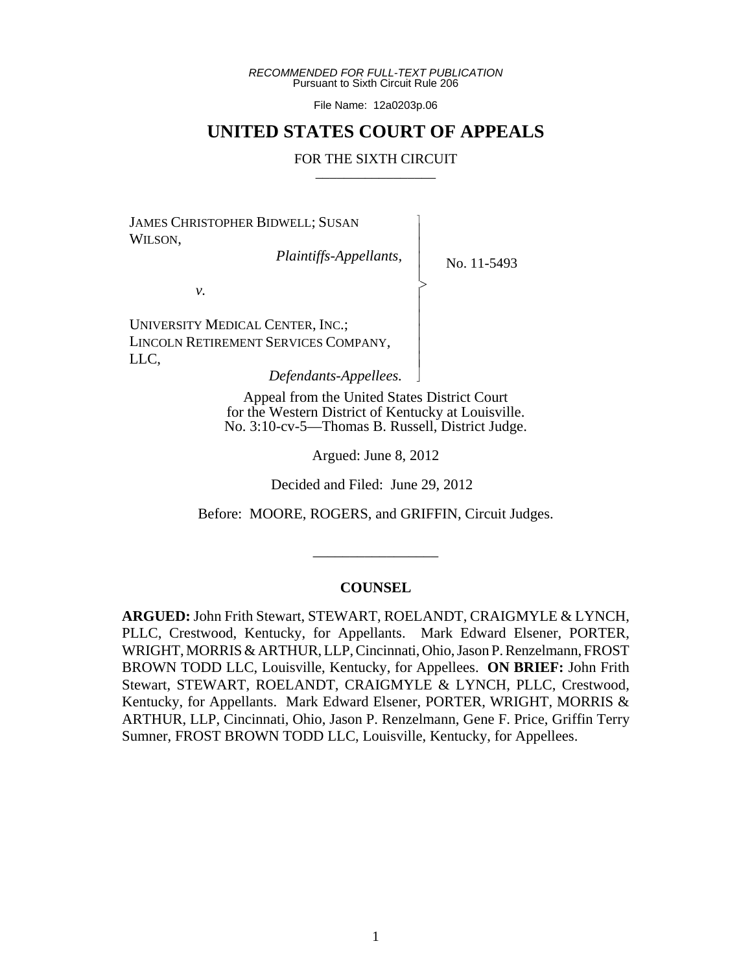*RECOMMENDED FOR FULL-TEXT PUBLICATION* Pursuant to Sixth Circuit Rule 206

File Name: 12a0203p.06

# **UNITED STATES COURT OF APPEALS**

#### FOR THE SIXTH CIRCUIT

 $\overline{\phantom{a}}$ - - - > , - - - - - N

JAMES CHRISTOPHER BIDWELL; SUSAN WILSON,

 *Plaintiffs-Appellants,*

No. 11-5493

*v.*

UNIVERSITY MEDICAL CENTER, INC.; LINCOLN RETIREMENT SERVICES COMPANY, LLC,

 *Defendants-Appellees.*

Appeal from the United States District Court for the Western District of Kentucky at Louisville. No. 3:10-cv-5—Thomas B. Russell, District Judge.

Argued: June 8, 2012

Decided and Filed: June 29, 2012

Before: MOORE, ROGERS, and GRIFFIN, Circuit Judges.

## **COUNSEL**

\_\_\_\_\_\_\_\_\_\_\_\_\_\_\_\_\_

**ARGUED:** John Frith Stewart, STEWART, ROELANDT, CRAIGMYLE & LYNCH, PLLC, Crestwood, Kentucky, for Appellants. Mark Edward Elsener, PORTER, WRIGHT, MORRIS & ARTHUR, LLP, Cincinnati, Ohio, Jason P. Renzelmann, FROST BROWN TODD LLC, Louisville, Kentucky, for Appellees. **ON BRIEF:** John Frith Stewart, STEWART, ROELANDT, CRAIGMYLE & LYNCH, PLLC, Crestwood, Kentucky, for Appellants. Mark Edward Elsener, PORTER, WRIGHT, MORRIS & ARTHUR, LLP, Cincinnati, Ohio, Jason P. Renzelmann, Gene F. Price, Griffin Terry Sumner, FROST BROWN TODD LLC, Louisville, Kentucky, for Appellees.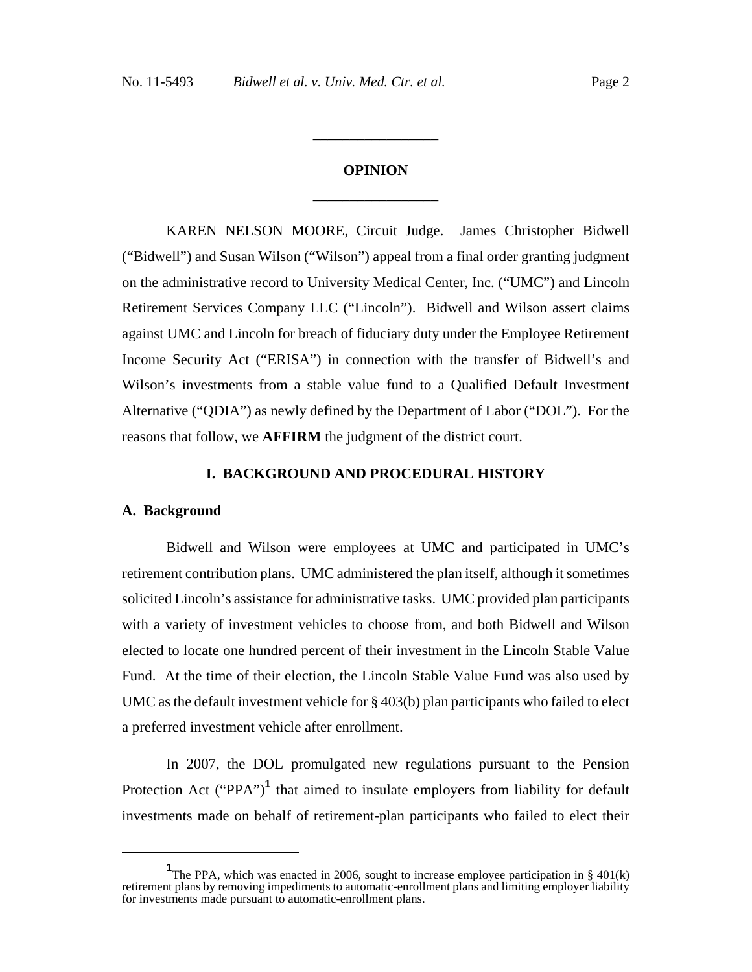# **OPINION \_\_\_\_\_\_\_\_\_\_\_\_\_\_\_\_\_**

**\_\_\_\_\_\_\_\_\_\_\_\_\_\_\_\_\_**

KAREN NELSON MOORE, Circuit Judge. James Christopher Bidwell ("Bidwell") and Susan Wilson ("Wilson") appeal from a final order granting judgment on the administrative record to University Medical Center, Inc. ("UMC") and Lincoln Retirement Services Company LLC ("Lincoln"). Bidwell and Wilson assert claims against UMC and Lincoln for breach of fiduciary duty under the Employee Retirement Income Security Act ("ERISA") in connection with the transfer of Bidwell's and Wilson's investments from a stable value fund to a Qualified Default Investment Alternative ("QDIA") as newly defined by the Department of Labor ("DOL"). For the reasons that follow, we **AFFIRM** the judgment of the district court.

### **I. BACKGROUND AND PROCEDURAL HISTORY**

#### **A. Background**

Bidwell and Wilson were employees at UMC and participated in UMC's retirement contribution plans. UMC administered the plan itself, although it sometimes solicited Lincoln's assistance for administrative tasks. UMC provided plan participants with a variety of investment vehicles to choose from, and both Bidwell and Wilson elected to locate one hundred percent of their investment in the Lincoln Stable Value Fund. At the time of their election, the Lincoln Stable Value Fund was also used by UMC as the default investment vehicle for § 403(b) plan participants who failed to elect a preferred investment vehicle after enrollment.

In 2007, the DOL promulgated new regulations pursuant to the Pension Protection Act ("PPA")<sup>1</sup> that aimed to insulate employers from liability for default investments made on behalf of retirement-plan participants who failed to elect their

<sup>&</sup>lt;sup>1</sup>The PPA, which was enacted in 2006, sought to increase employee participation in § 401(k) retirement plans by removing impediments to automatic-enrollment plans and limiting employer liability for investments made pursuant to automatic-enrollment plans.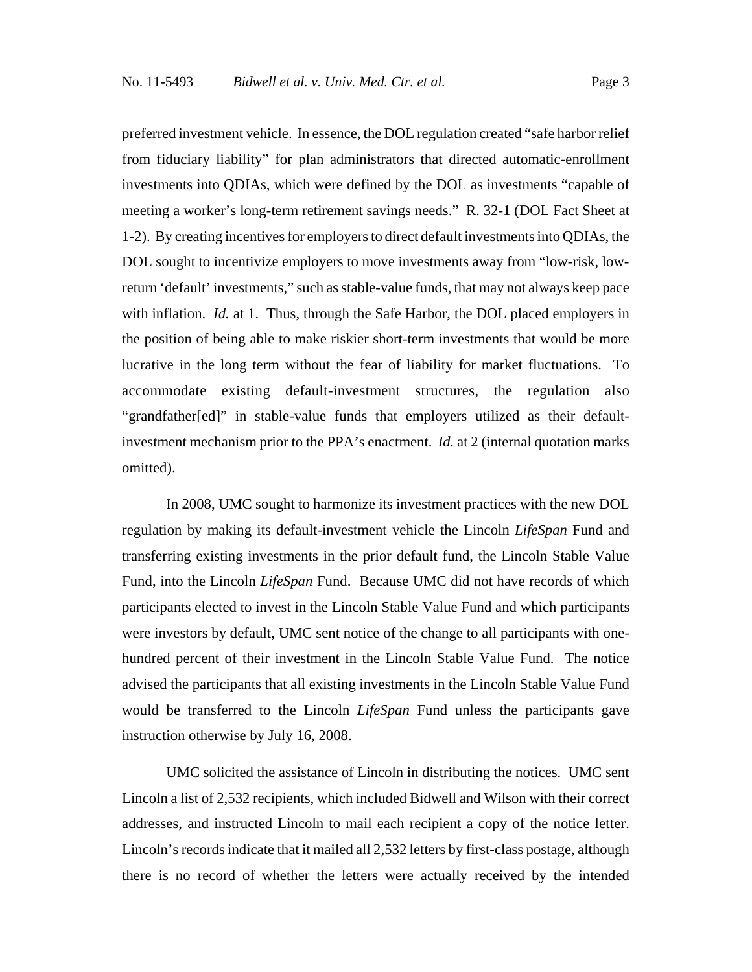preferred investment vehicle. In essence, the DOL regulation created "safe harbor relief from fiduciary liability" for plan administrators that directed automatic-enrollment investments into QDIAs, which were defined by the DOL as investments "capable of meeting a worker's long-term retirement savings needs." R. 32-1 (DOL Fact Sheet at 1-2). By creating incentives for employers to direct default investments into QDIAs, the DOL sought to incentivize employers to move investments away from "low-risk, lowreturn 'default' investments," such as stable-value funds, that may not always keep pace with inflation. *Id.* at 1. Thus, through the Safe Harbor, the DOL placed employers in the position of being able to make riskier short-term investments that would be more lucrative in the long term without the fear of liability for market fluctuations. To accommodate existing default-investment structures, the regulation also "grandfather[ed]" in stable-value funds that employers utilized as their defaultinvestment mechanism prior to the PPA's enactment. *Id.* at 2 (internal quotation marks omitted).

In 2008, UMC sought to harmonize its investment practices with the new DOL regulation by making its default-investment vehicle the Lincoln *LifeSpan* Fund and transferring existing investments in the prior default fund, the Lincoln Stable Value Fund, into the Lincoln *LifeSpan* Fund. Because UMC did not have records of which participants elected to invest in the Lincoln Stable Value Fund and which participants were investors by default, UMC sent notice of the change to all participants with onehundred percent of their investment in the Lincoln Stable Value Fund. The notice advised the participants that all existing investments in the Lincoln Stable Value Fund would be transferred to the Lincoln *LifeSpan* Fund unless the participants gave instruction otherwise by July 16, 2008.

UMC solicited the assistance of Lincoln in distributing the notices. UMC sent Lincoln a list of 2,532 recipients, which included Bidwell and Wilson with their correct addresses, and instructed Lincoln to mail each recipient a copy of the notice letter. Lincoln's records indicate that it mailed all 2,532 letters by first-class postage, although there is no record of whether the letters were actually received by the intended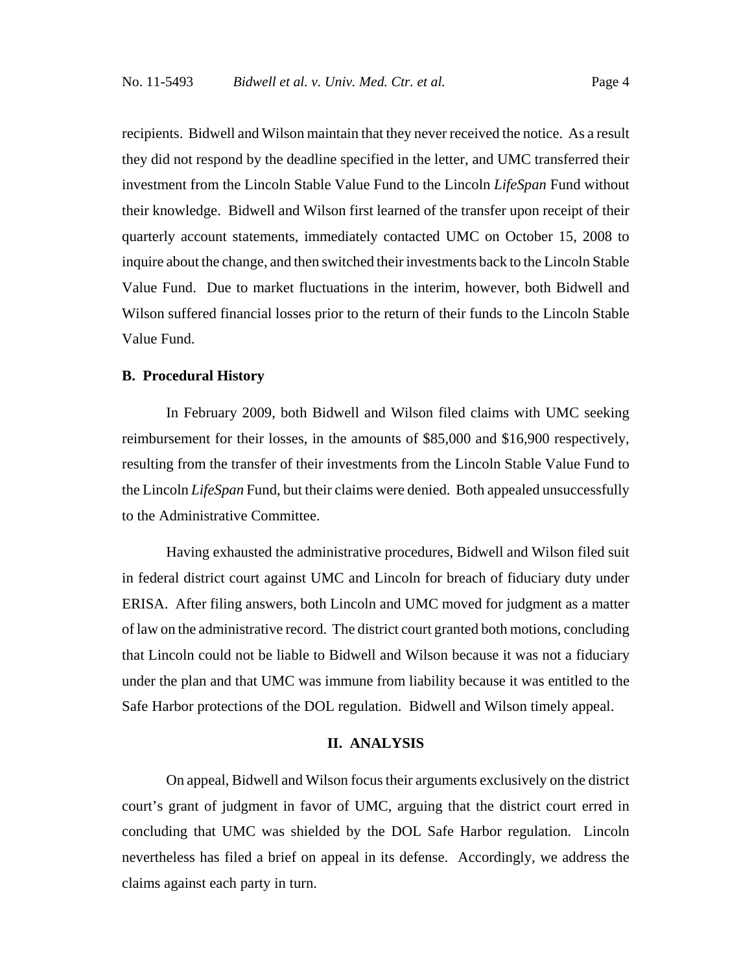recipients. Bidwell and Wilson maintain that they never received the notice. As a result they did not respond by the deadline specified in the letter, and UMC transferred their investment from the Lincoln Stable Value Fund to the Lincoln *LifeSpan* Fund without their knowledge. Bidwell and Wilson first learned of the transfer upon receipt of their quarterly account statements, immediately contacted UMC on October 15, 2008 to inquire about the change, and then switched their investments back to the Lincoln Stable Value Fund. Due to market fluctuations in the interim, however, both Bidwell and Wilson suffered financial losses prior to the return of their funds to the Lincoln Stable Value Fund.

#### **B. Procedural History**

In February 2009, both Bidwell and Wilson filed claims with UMC seeking reimbursement for their losses, in the amounts of \$85,000 and \$16,900 respectively, resulting from the transfer of their investments from the Lincoln Stable Value Fund to the Lincoln *LifeSpan* Fund, but their claims were denied. Both appealed unsuccessfully to the Administrative Committee.

Having exhausted the administrative procedures, Bidwell and Wilson filed suit in federal district court against UMC and Lincoln for breach of fiduciary duty under ERISA. After filing answers, both Lincoln and UMC moved for judgment as a matter of law on the administrative record. The district court granted both motions, concluding that Lincoln could not be liable to Bidwell and Wilson because it was not a fiduciary under the plan and that UMC was immune from liability because it was entitled to the Safe Harbor protections of the DOL regulation. Bidwell and Wilson timely appeal.

#### **II. ANALYSIS**

On appeal, Bidwell and Wilson focus their arguments exclusively on the district court's grant of judgment in favor of UMC, arguing that the district court erred in concluding that UMC was shielded by the DOL Safe Harbor regulation. Lincoln nevertheless has filed a brief on appeal in its defense. Accordingly, we address the claims against each party in turn.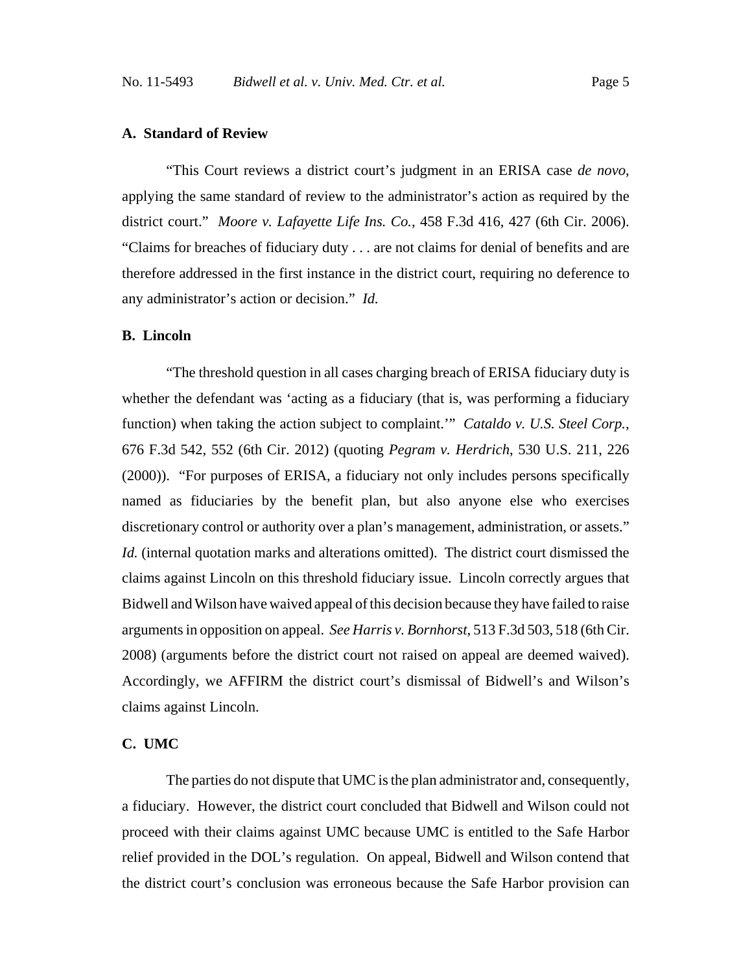## **A. Standard of Review**

"This Court reviews a district court's judgment in an ERISA case *de novo*, applying the same standard of review to the administrator's action as required by the district court." *Moore v. Lafayette Life Ins. Co.*, 458 F.3d 416, 427 (6th Cir. 2006). "Claims for breaches of fiduciary duty . . . are not claims for denial of benefits and are therefore addressed in the first instance in the district court, requiring no deference to any administrator's action or decision." *Id.*

#### **B. Lincoln**

"The threshold question in all cases charging breach of ERISA fiduciary duty is whether the defendant was 'acting as a fiduciary (that is, was performing a fiduciary function) when taking the action subject to complaint.'" *Cataldo v. U.S. Steel Corp.*, 676 F.3d 542, 552 (6th Cir. 2012) (quoting *Pegram v. Herdrich*, 530 U.S. 211, 226 (2000)). "For purposes of ERISA, a fiduciary not only includes persons specifically named as fiduciaries by the benefit plan, but also anyone else who exercises discretionary control or authority over a plan's management, administration, or assets." *Id.* (internal quotation marks and alterations omitted). The district court dismissed the claims against Lincoln on this threshold fiduciary issue. Lincoln correctly argues that Bidwell and Wilson have waived appeal of this decision because they have failed to raise arguments in opposition on appeal. *See Harris v. Bornhorst*, 513 F.3d 503, 518 (6th Cir. 2008) (arguments before the district court not raised on appeal are deemed waived). Accordingly, we AFFIRM the district court's dismissal of Bidwell's and Wilson's claims against Lincoln.

## **C. UMC**

The parties do not dispute that UMC is the plan administrator and, consequently, a fiduciary. However, the district court concluded that Bidwell and Wilson could not proceed with their claims against UMC because UMC is entitled to the Safe Harbor relief provided in the DOL's regulation. On appeal, Bidwell and Wilson contend that the district court's conclusion was erroneous because the Safe Harbor provision can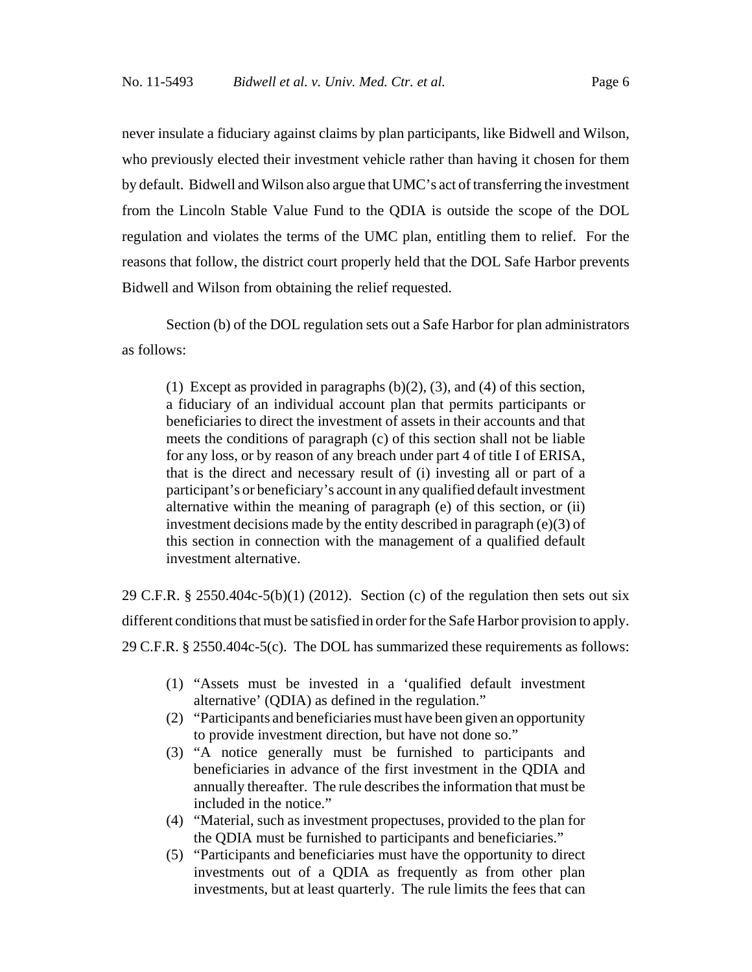never insulate a fiduciary against claims by plan participants, like Bidwell and Wilson, who previously elected their investment vehicle rather than having it chosen for them by default. Bidwell and Wilson also argue that UMC's act of transferring the investment from the Lincoln Stable Value Fund to the QDIA is outside the scope of the DOL regulation and violates the terms of the UMC plan, entitling them to relief. For the reasons that follow, the district court properly held that the DOL Safe Harbor prevents Bidwell and Wilson from obtaining the relief requested.

Section (b) of the DOL regulation sets out a Safe Harbor for plan administrators as follows:

(1) Except as provided in paragraphs  $(b)(2)$ ,  $(3)$ , and  $(4)$  of this section, a fiduciary of an individual account plan that permits participants or beneficiaries to direct the investment of assets in their accounts and that meets the conditions of paragraph (c) of this section shall not be liable for any loss, or by reason of any breach under part 4 of title I of ERISA, that is the direct and necessary result of (i) investing all or part of a participant's or beneficiary's account in any qualified default investment alternative within the meaning of paragraph (e) of this section, or (ii) investment decisions made by the entity described in paragraph (e)(3) of this section in connection with the management of a qualified default investment alternative.

29 C.F.R. § 2550.404c-5(b)(1) (2012). Section (c) of the regulation then sets out six different conditions that must be satisfied in order for the Safe Harbor provision to apply. 29 C.F.R. § 2550.404c-5(c). The DOL has summarized these requirements as follows:

- (1) "Assets must be invested in a 'qualified default investment alternative' (QDIA) as defined in the regulation."
- (2) "Participants and beneficiaries must have been given an opportunity to provide investment direction, but have not done so."
- (3) "A notice generally must be furnished to participants and beneficiaries in advance of the first investment in the QDIA and annually thereafter. The rule describes the information that must be included in the notice."
- (4) "Material, such as investment propectuses, provided to the plan for the QDIA must be furnished to participants and beneficiaries."
- (5) "Participants and beneficiaries must have the opportunity to direct investments out of a QDIA as frequently as from other plan investments, but at least quarterly. The rule limits the fees that can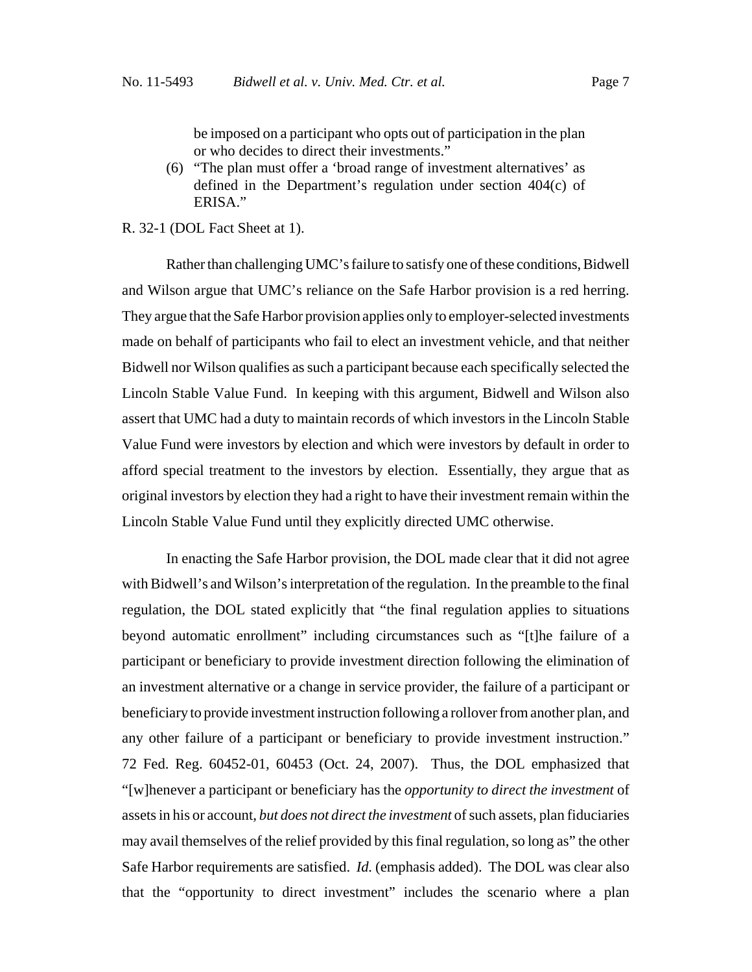be imposed on a participant who opts out of participation in the plan or who decides to direct their investments."

(6) "The plan must offer a 'broad range of investment alternatives' as defined in the Department's regulation under section 404(c) of ERISA."

#### R. 32-1 (DOL Fact Sheet at 1).

Rather than challenging UMC's failure to satisfy one of these conditions, Bidwell and Wilson argue that UMC's reliance on the Safe Harbor provision is a red herring. They argue that the Safe Harbor provision applies only to employer-selected investments made on behalf of participants who fail to elect an investment vehicle, and that neither Bidwell nor Wilson qualifies as such a participant because each specifically selected the Lincoln Stable Value Fund. In keeping with this argument, Bidwell and Wilson also assert that UMC had a duty to maintain records of which investors in the Lincoln Stable Value Fund were investors by election and which were investors by default in order to afford special treatment to the investors by election. Essentially, they argue that as original investors by election they had a right to have their investment remain within the Lincoln Stable Value Fund until they explicitly directed UMC otherwise.

In enacting the Safe Harbor provision, the DOL made clear that it did not agree with Bidwell's and Wilson's interpretation of the regulation. In the preamble to the final regulation, the DOL stated explicitly that "the final regulation applies to situations beyond automatic enrollment" including circumstances such as "[t]he failure of a participant or beneficiary to provide investment direction following the elimination of an investment alternative or a change in service provider, the failure of a participant or beneficiary to provide investment instruction following a rollover from another plan, and any other failure of a participant or beneficiary to provide investment instruction." 72 Fed. Reg. 60452-01, 60453 (Oct. 24, 2007). Thus, the DOL emphasized that "[w]henever a participant or beneficiary has the *opportunity to direct the investment* of assets in his or account, *but does not direct the investment* of such assets, plan fiduciaries may avail themselves of the relief provided by this final regulation, so long as" the other Safe Harbor requirements are satisfied. *Id.* (emphasis added). The DOL was clear also that the "opportunity to direct investment" includes the scenario where a plan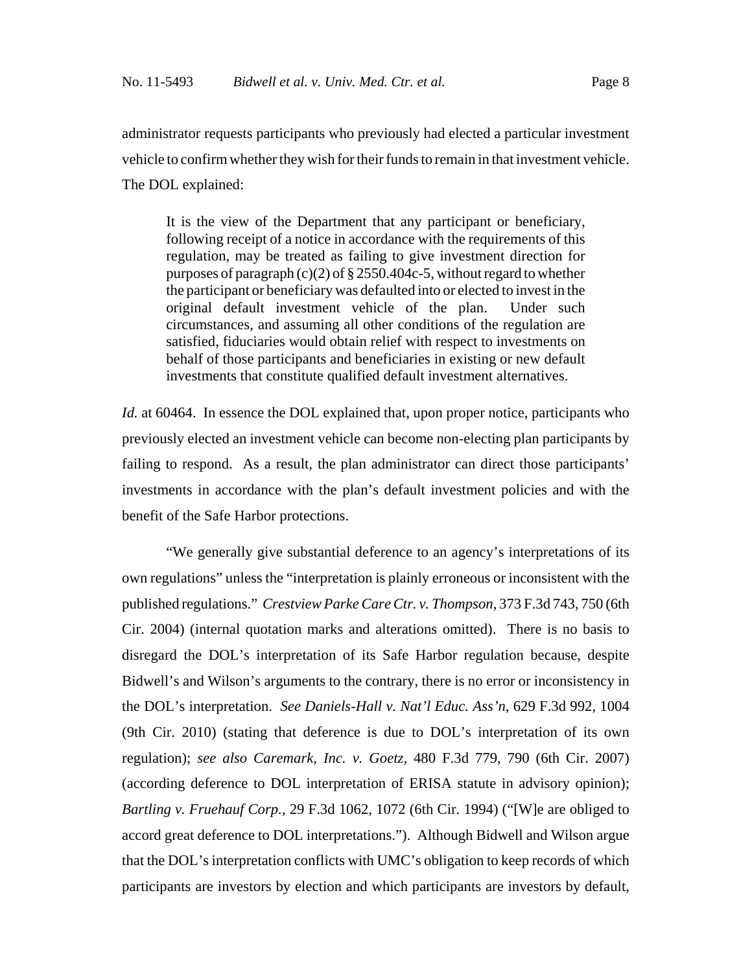administrator requests participants who previously had elected a particular investment vehicle to confirm whether they wish for their funds to remain in that investment vehicle. The DOL explained:

It is the view of the Department that any participant or beneficiary, following receipt of a notice in accordance with the requirements of this regulation, may be treated as failing to give investment direction for purposes of paragraph (c)(2) of  $\S 2550.404c-5$ , without regard to whether the participant or beneficiary was defaulted into or elected to invest in the original default investment vehicle of the plan. Under such circumstances, and assuming all other conditions of the regulation are satisfied, fiduciaries would obtain relief with respect to investments on behalf of those participants and beneficiaries in existing or new default investments that constitute qualified default investment alternatives.

*Id.* at 60464. In essence the DOL explained that, upon proper notice, participants who previously elected an investment vehicle can become non-electing plan participants by failing to respond. As a result, the plan administrator can direct those participants' investments in accordance with the plan's default investment policies and with the benefit of the Safe Harbor protections.

"We generally give substantial deference to an agency's interpretations of its own regulations" unless the "interpretation is plainly erroneous or inconsistent with the published regulations." *Crestview Parke Care Ctr. v. Thompson*, 373 F.3d 743, 750 (6th Cir. 2004) (internal quotation marks and alterations omitted). There is no basis to disregard the DOL's interpretation of its Safe Harbor regulation because, despite Bidwell's and Wilson's arguments to the contrary, there is no error or inconsistency in the DOL's interpretation. *See Daniels-Hall v. Nat'l Educ. Ass'n*, 629 F.3d 992, 1004 (9th Cir. 2010) (stating that deference is due to DOL's interpretation of its own regulation); *see also Caremark, Inc. v. Goetz*, 480 F.3d 779, 790 (6th Cir. 2007) (according deference to DOL interpretation of ERISA statute in advisory opinion); *Bartling v. Fruehauf Corp.*, 29 F.3d 1062, 1072 (6th Cir. 1994) ("[W]e are obliged to accord great deference to DOL interpretations."). Although Bidwell and Wilson argue that the DOL's interpretation conflicts with UMC's obligation to keep records of which participants are investors by election and which participants are investors by default,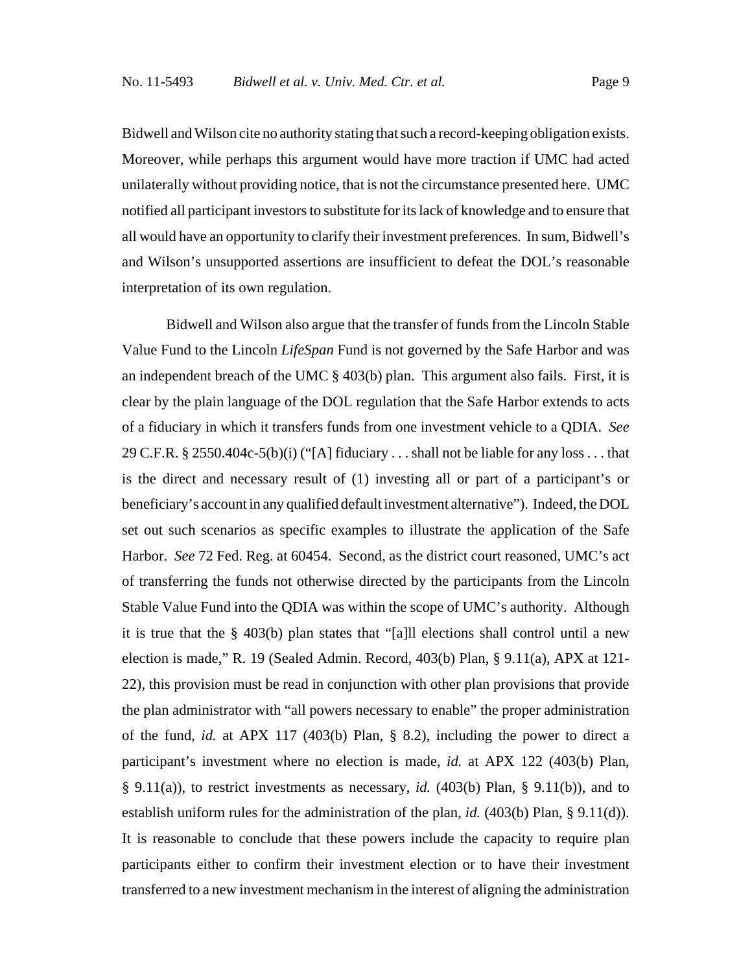Bidwell and Wilson cite no authority stating that such a record-keeping obligation exists. Moreover, while perhaps this argument would have more traction if UMC had acted unilaterally without providing notice, that is not the circumstance presented here. UMC notified all participant investors to substitute for its lack of knowledge and to ensure that all would have an opportunity to clarify their investment preferences. In sum, Bidwell's and Wilson's unsupported assertions are insufficient to defeat the DOL's reasonable interpretation of its own regulation.

Bidwell and Wilson also argue that the transfer of funds from the Lincoln Stable Value Fund to the Lincoln *LifeSpan* Fund is not governed by the Safe Harbor and was an independent breach of the UMC  $\S$  403(b) plan. This argument also fails. First, it is clear by the plain language of the DOL regulation that the Safe Harbor extends to acts of a fiduciary in which it transfers funds from one investment vehicle to a QDIA. *See* 29 C.F.R. § 2550.404c-5(b)(i) ("[A] fiduciary . . . shall not be liable for any loss . . . that is the direct and necessary result of (1) investing all or part of a participant's or beneficiary's account in any qualified default investment alternative"). Indeed, the DOL set out such scenarios as specific examples to illustrate the application of the Safe Harbor. *See* 72 Fed. Reg. at 60454. Second, as the district court reasoned, UMC's act of transferring the funds not otherwise directed by the participants from the Lincoln Stable Value Fund into the QDIA was within the scope of UMC's authority. Although it is true that the § 403(b) plan states that "[a]ll elections shall control until a new election is made," R. 19 (Sealed Admin. Record, 403(b) Plan, § 9.11(a), APX at 121- 22), this provision must be read in conjunction with other plan provisions that provide the plan administrator with "all powers necessary to enable" the proper administration of the fund, *id.* at APX 117 (403(b) Plan, § 8.2), including the power to direct a participant's investment where no election is made, *id.* at APX 122 (403(b) Plan, § 9.11(a)), to restrict investments as necessary, *id.* (403(b) Plan, § 9.11(b)), and to establish uniform rules for the administration of the plan, *id.* (403(b) Plan, § 9.11(d)). It is reasonable to conclude that these powers include the capacity to require plan participants either to confirm their investment election or to have their investment transferred to a new investment mechanism in the interest of aligning the administration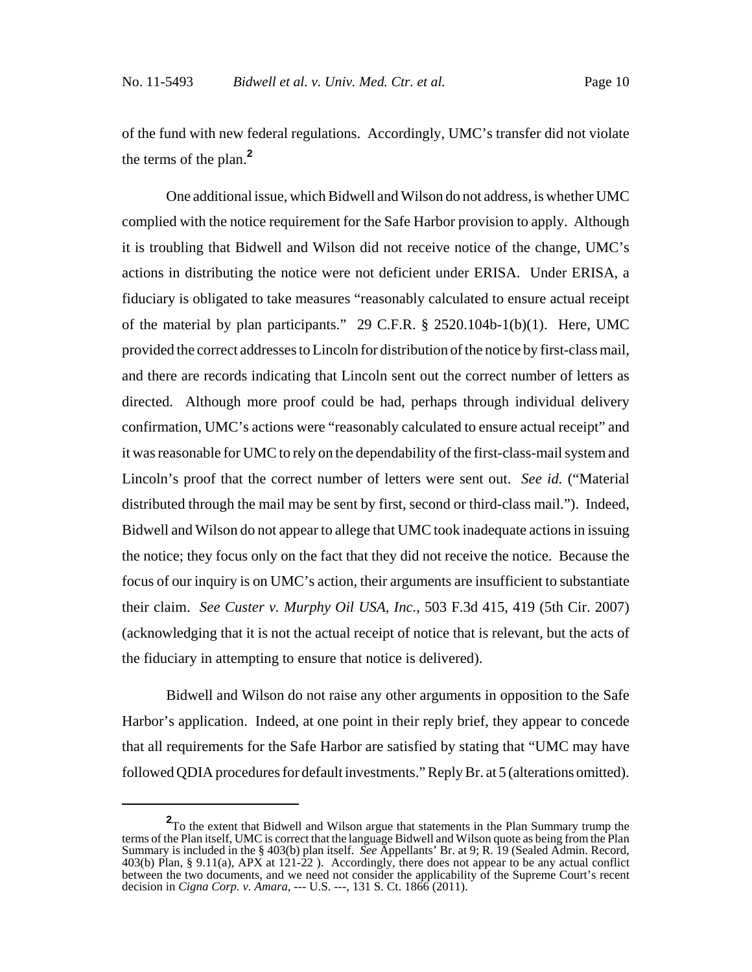of the fund with new federal regulations. Accordingly, UMC's transfer did not violate the terms of the plan.**<sup>2</sup>**

One additional issue, which Bidwell and Wilson do not address, is whether UMC complied with the notice requirement for the Safe Harbor provision to apply. Although it is troubling that Bidwell and Wilson did not receive notice of the change, UMC's actions in distributing the notice were not deficient under ERISA. Under ERISA, a fiduciary is obligated to take measures "reasonably calculated to ensure actual receipt of the material by plan participants." 29 C.F.R. § 2520.104b-1(b)(1). Here, UMC provided the correct addresses to Lincoln for distribution of the notice by first-class mail, and there are records indicating that Lincoln sent out the correct number of letters as directed. Although more proof could be had, perhaps through individual delivery confirmation, UMC's actions were "reasonably calculated to ensure actual receipt" and it was reasonable for UMC to rely on the dependability of the first-class-mail system and Lincoln's proof that the correct number of letters were sent out. *See id.* ("Material distributed through the mail may be sent by first, second or third-class mail."). Indeed, Bidwell and Wilson do not appear to allege that UMC took inadequate actions in issuing the notice; they focus only on the fact that they did not receive the notice. Because the focus of our inquiry is on UMC's action, their arguments are insufficient to substantiate their claim. *See Custer v. Murphy Oil USA, Inc.*, 503 F.3d 415, 419 (5th Cir. 2007) (acknowledging that it is not the actual receipt of notice that is relevant, but the acts of the fiduciary in attempting to ensure that notice is delivered).

Bidwell and Wilson do not raise any other arguments in opposition to the Safe Harbor's application. Indeed, at one point in their reply brief, they appear to concede that all requirements for the Safe Harbor are satisfied by stating that "UMC may have followed QDIA procedures for default investments." Reply Br. at 5 (alterations omitted).

**<sup>2</sup>** To the extent that Bidwell and Wilson argue that statements in the Plan Summary trump the terms of the Plan itself, UMC is correct that the language Bidwell and Wilson quote as being from the Plan Summary is included in the § 403(b) plan itself. *See* Appellants' Br. at 9; R. 19 (Sealed Admin. Record, 403(b) Plan, § 9.11(a), APX at 121-22 ). Accordingly, there does not appear to be any actual conflict between the two documents, and we need not consider the applicability of the Supreme Court's recent decision in *Cigna Corp. v. Amara*, --- U.S. ---, 131 S. Ct. 1866 (2011).